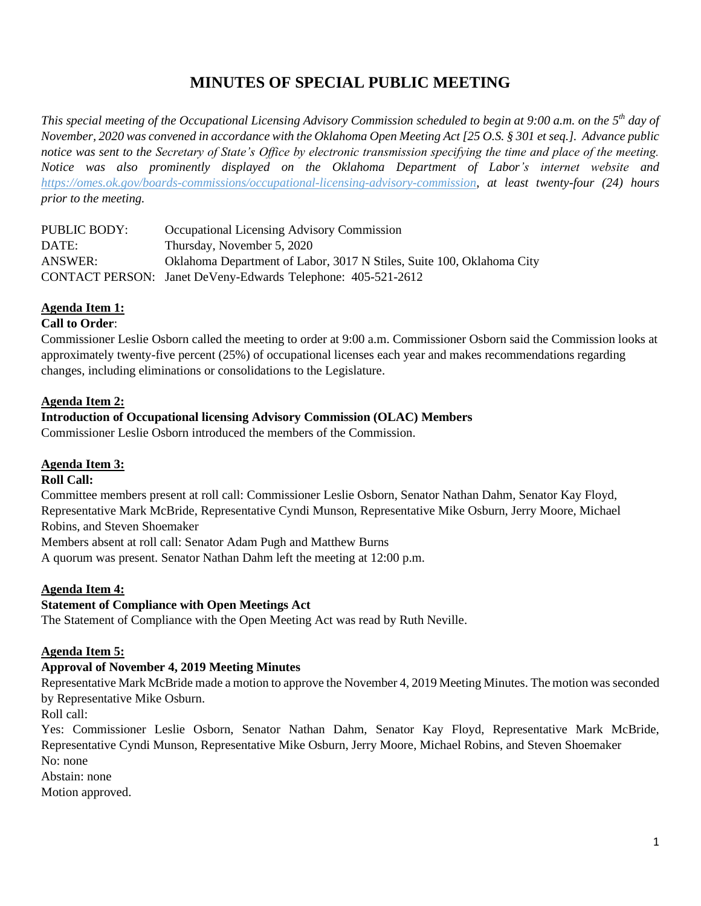# **MINUTES OF SPECIAL PUBLIC MEETING**

*This special meeting of the Occupational Licensing Advisory Commission scheduled to begin at 9:00 a.m. on the 5 th day of November, 2020 was convened in accordance with the Oklahoma Open Meeting Act [25 O.S. § 301 et seq.]. Advance public notice was sent to the Secretary of State's Office by electronic transmission specifying the time and place of the meeting. Notice was also prominently displayed on the Oklahoma Department of Labor's internet website and https://omes.ok.gov/boards-commissions/occupational-licensing-advisory-commission, at least twenty-four (24) hours prior to the meeting.*

| PUBLIC BODY:   | Occupational Licensing Advisory Commission                            |
|----------------|-----------------------------------------------------------------------|
| DATE:          | Thursday, November 5, 2020                                            |
| <b>ANSWER:</b> | Oklahoma Department of Labor, 3017 N Stiles, Suite 100, Oklahoma City |
|                | CONTACT PERSON: Janet DeVeny-Edwards Telephone: 405-521-2612          |

# **Agenda Item 1:**

# **Call to Order**:

Commissioner Leslie Osborn called the meeting to order at 9:00 a.m. Commissioner Osborn said the Commission looks at approximately twenty-five percent (25%) of occupational licenses each year and makes recommendations regarding changes, including eliminations or consolidations to the Legislature.

# **Agenda Item 2:**

### **Introduction of Occupational licensing Advisory Commission (OLAC) Members**

Commissioner Leslie Osborn introduced the members of the Commission.

# **Agenda Item 3:**

#### **Roll Call:**

Committee members present at roll call: Commissioner Leslie Osborn, Senator Nathan Dahm, Senator Kay Floyd, Representative Mark McBride, Representative Cyndi Munson, Representative Mike Osburn, Jerry Moore, Michael Robins, and Steven Shoemaker

Members absent at roll call: Senator Adam Pugh and Matthew Burns

A quorum was present. Senator Nathan Dahm left the meeting at 12:00 p.m.

# **Agenda Item 4:**

# **Statement of Compliance with Open Meetings Act**

The Statement of Compliance with the Open Meeting Act was read by Ruth Neville.

# **Agenda Item 5:**

# **Approval of November 4, 2019 Meeting Minutes**

Representative Mark McBride made a motion to approve the November 4, 2019 Meeting Minutes. The motion was seconded by Representative Mike Osburn.

Roll call:

Yes: Commissioner Leslie Osborn, Senator Nathan Dahm, Senator Kay Floyd, Representative Mark McBride, Representative Cyndi Munson, Representative Mike Osburn, Jerry Moore, Michael Robins, and Steven Shoemaker No: none

Abstain: none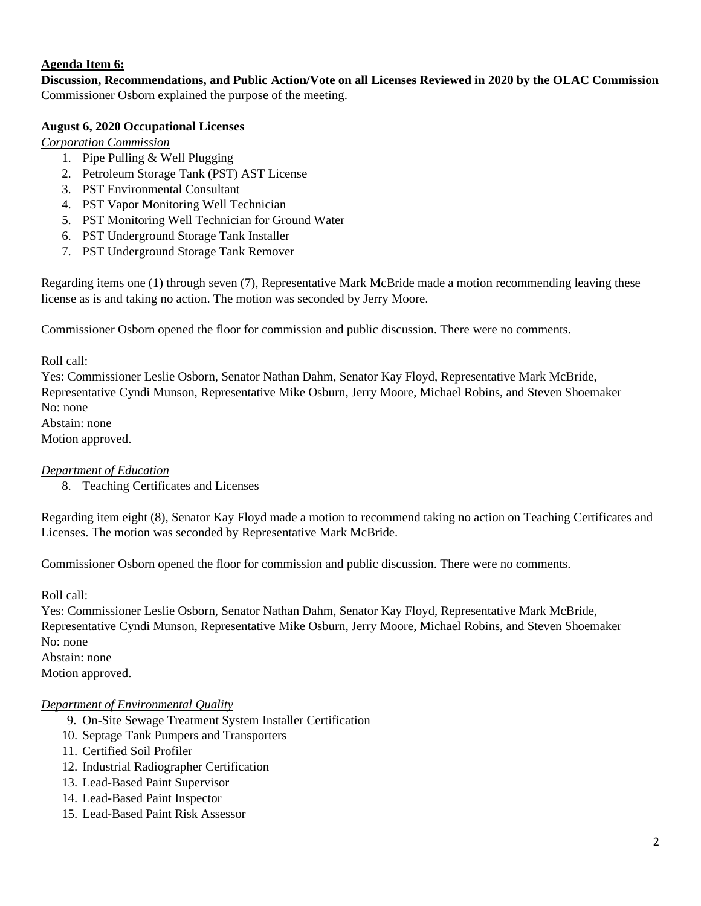# **Agenda Item 6:**

**Discussion, Recommendations, and Public Action/Vote on all Licenses Reviewed in 2020 by the OLAC Commission** Commissioner Osborn explained the purpose of the meeting.

### **August 6, 2020 Occupational Licenses**

*Corporation Commission*

- 1. Pipe Pulling & Well Plugging
- 2. Petroleum Storage Tank (PST) AST License
- 3. PST Environmental Consultant
- 4. PST Vapor Monitoring Well Technician
- 5. PST Monitoring Well Technician for Ground Water
- 6. PST Underground Storage Tank Installer
- 7. PST Underground Storage Tank Remover

Regarding items one (1) through seven (7), Representative Mark McBride made a motion recommending leaving these license as is and taking no action. The motion was seconded by Jerry Moore.

Commissioner Osborn opened the floor for commission and public discussion. There were no comments.

Roll call:

Yes: Commissioner Leslie Osborn, Senator Nathan Dahm, Senator Kay Floyd, Representative Mark McBride, Representative Cyndi Munson, Representative Mike Osburn, Jerry Moore, Michael Robins, and Steven Shoemaker No: none

Abstain: none

Motion approved.

#### *Department of Education*

8. Teaching Certificates and Licenses

Regarding item eight (8), Senator Kay Floyd made a motion to recommend taking no action on Teaching Certificates and Licenses. The motion was seconded by Representative Mark McBride.

Commissioner Osborn opened the floor for commission and public discussion. There were no comments.

Roll call:

Yes: Commissioner Leslie Osborn, Senator Nathan Dahm, Senator Kay Floyd, Representative Mark McBride, Representative Cyndi Munson, Representative Mike Osburn, Jerry Moore, Michael Robins, and Steven Shoemaker No: none Abstain: none

Motion approved.

#### *Department of Environmental Quality*

- 9. On-Site Sewage Treatment System Installer Certification
- 10. Septage Tank Pumpers and Transporters
- 11. Certified Soil Profiler
- 12. Industrial Radiographer Certification
- 13. Lead-Based Paint Supervisor
- 14. Lead-Based Paint Inspector
- 15. Lead-Based Paint Risk Assessor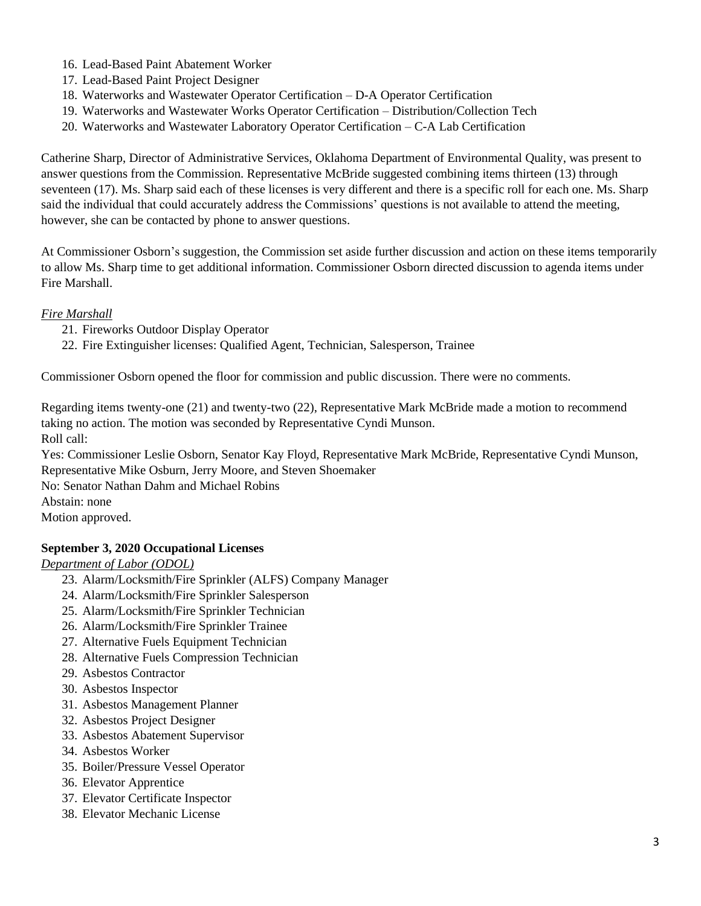- 16. Lead-Based Paint Abatement Worker
- 17. Lead-Based Paint Project Designer
- 18. Waterworks and Wastewater Operator Certification D-A Operator Certification
- 19. Waterworks and Wastewater Works Operator Certification Distribution/Collection Tech
- 20. Waterworks and Wastewater Laboratory Operator Certification C-A Lab Certification

Catherine Sharp, Director of Administrative Services, Oklahoma Department of Environmental Quality, was present to answer questions from the Commission. Representative McBride suggested combining items thirteen (13) through seventeen (17). Ms. Sharp said each of these licenses is very different and there is a specific roll for each one. Ms. Sharp said the individual that could accurately address the Commissions' questions is not available to attend the meeting, however, she can be contacted by phone to answer questions.

At Commissioner Osborn's suggestion, the Commission set aside further discussion and action on these items temporarily to allow Ms. Sharp time to get additional information. Commissioner Osborn directed discussion to agenda items under Fire Marshall.

#### *Fire Marshall*

- 21. Fireworks Outdoor Display Operator
- 22. Fire Extinguisher licenses: Qualified Agent, Technician, Salesperson, Trainee

Commissioner Osborn opened the floor for commission and public discussion. There were no comments.

Regarding items twenty-one (21) and twenty-two (22), Representative Mark McBride made a motion to recommend taking no action. The motion was seconded by Representative Cyndi Munson. Roll call:

Yes: Commissioner Leslie Osborn, Senator Kay Floyd, Representative Mark McBride, Representative Cyndi Munson, Representative Mike Osburn, Jerry Moore, and Steven Shoemaker

No: Senator Nathan Dahm and Michael Robins

Abstain: none

Motion approved.

#### **September 3, 2020 Occupational Licenses**

*Department of Labor (ODOL)*

- 23. Alarm/Locksmith/Fire Sprinkler (ALFS) Company Manager
- 24. Alarm/Locksmith/Fire Sprinkler Salesperson
- 25. Alarm/Locksmith/Fire Sprinkler Technician
- 26. Alarm/Locksmith/Fire Sprinkler Trainee
- 27. Alternative Fuels Equipment Technician
- 28. Alternative Fuels Compression Technician
- 29. Asbestos Contractor
- 30. Asbestos Inspector
- 31. Asbestos Management Planner
- 32. Asbestos Project Designer
- 33. Asbestos Abatement Supervisor
- 34. Asbestos Worker
- 35. Boiler/Pressure Vessel Operator
- 36. Elevator Apprentice
- 37. Elevator Certificate Inspector
- 38. Elevator Mechanic License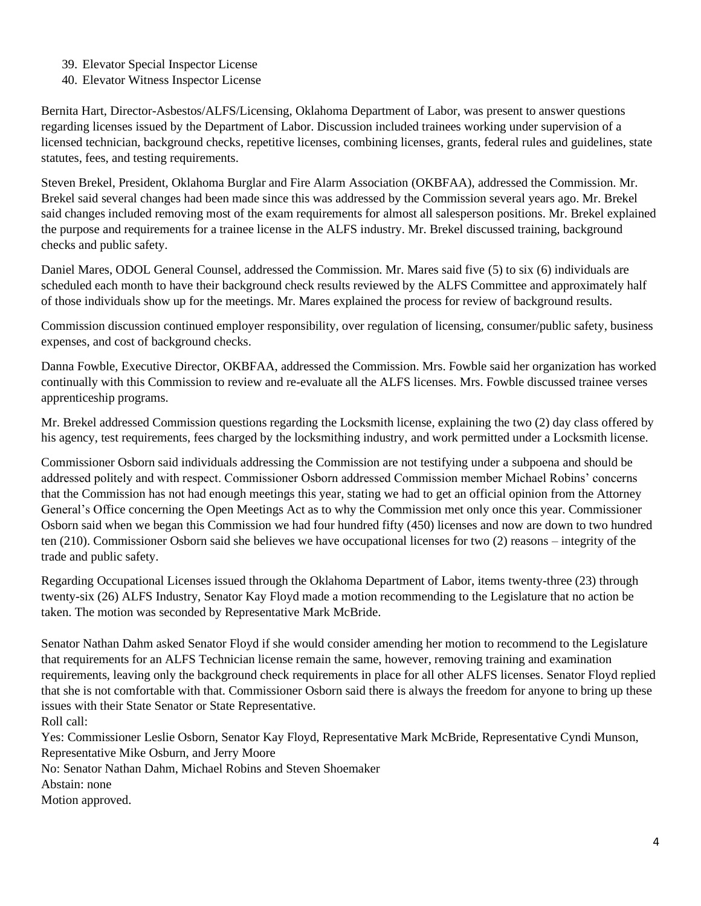- 39. Elevator Special Inspector License
- 40. Elevator Witness Inspector License

Bernita Hart, Director-Asbestos/ALFS/Licensing, Oklahoma Department of Labor, was present to answer questions regarding licenses issued by the Department of Labor. Discussion included trainees working under supervision of a licensed technician, background checks, repetitive licenses, combining licenses, grants, federal rules and guidelines, state statutes, fees, and testing requirements.

Steven Brekel, President, Oklahoma Burglar and Fire Alarm Association (OKBFAA), addressed the Commission. Mr. Brekel said several changes had been made since this was addressed by the Commission several years ago. Mr. Brekel said changes included removing most of the exam requirements for almost all salesperson positions. Mr. Brekel explained the purpose and requirements for a trainee license in the ALFS industry. Mr. Brekel discussed training, background checks and public safety.

Daniel Mares, ODOL General Counsel, addressed the Commission. Mr. Mares said five (5) to six (6) individuals are scheduled each month to have their background check results reviewed by the ALFS Committee and approximately half of those individuals show up for the meetings. Mr. Mares explained the process for review of background results.

Commission discussion continued employer responsibility, over regulation of licensing, consumer/public safety, business expenses, and cost of background checks.

Danna Fowble, Executive Director, OKBFAA, addressed the Commission. Mrs. Fowble said her organization has worked continually with this Commission to review and re-evaluate all the ALFS licenses. Mrs. Fowble discussed trainee verses apprenticeship programs.

Mr. Brekel addressed Commission questions regarding the Locksmith license, explaining the two (2) day class offered by his agency, test requirements, fees charged by the locksmithing industry, and work permitted under a Locksmith license.

Commissioner Osborn said individuals addressing the Commission are not testifying under a subpoena and should be addressed politely and with respect. Commissioner Osborn addressed Commission member Michael Robins' concerns that the Commission has not had enough meetings this year, stating we had to get an official opinion from the Attorney General's Office concerning the Open Meetings Act as to why the Commission met only once this year. Commissioner Osborn said when we began this Commission we had four hundred fifty (450) licenses and now are down to two hundred ten (210). Commissioner Osborn said she believes we have occupational licenses for two (2) reasons – integrity of the trade and public safety.

Regarding Occupational Licenses issued through the Oklahoma Department of Labor, items twenty-three (23) through twenty-six (26) ALFS Industry, Senator Kay Floyd made a motion recommending to the Legislature that no action be taken. The motion was seconded by Representative Mark McBride.

Senator Nathan Dahm asked Senator Floyd if she would consider amending her motion to recommend to the Legislature that requirements for an ALFS Technician license remain the same, however, removing training and examination requirements, leaving only the background check requirements in place for all other ALFS licenses. Senator Floyd replied that she is not comfortable with that. Commissioner Osborn said there is always the freedom for anyone to bring up these issues with their State Senator or State Representative.

Roll call:

Yes: Commissioner Leslie Osborn, Senator Kay Floyd, Representative Mark McBride, Representative Cyndi Munson, Representative Mike Osburn, and Jerry Moore

No: Senator Nathan Dahm, Michael Robins and Steven Shoemaker

Abstain: none

Motion approved.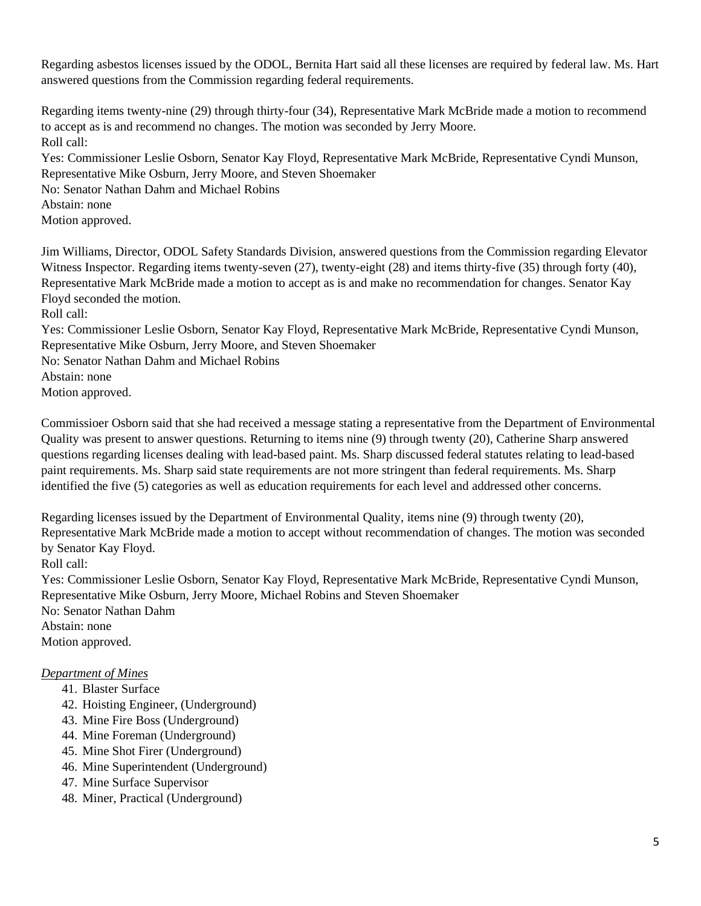Regarding asbestos licenses issued by the ODOL, Bernita Hart said all these licenses are required by federal law. Ms. Hart answered questions from the Commission regarding federal requirements.

Regarding items twenty-nine (29) through thirty-four (34), Representative Mark McBride made a motion to recommend to accept as is and recommend no changes. The motion was seconded by Jerry Moore. Roll call: Yes: Commissioner Leslie Osborn, Senator Kay Floyd, Representative Mark McBride, Representative Cyndi Munson, Representative Mike Osburn, Jerry Moore, and Steven Shoemaker No: Senator Nathan Dahm and Michael Robins Abstain: none Motion approved.

Jim Williams, Director, ODOL Safety Standards Division, answered questions from the Commission regarding Elevator Witness Inspector. Regarding items twenty-seven (27), twenty-eight (28) and items thirty-five (35) through forty (40), Representative Mark McBride made a motion to accept as is and make no recommendation for changes. Senator Kay Floyd seconded the motion.

Roll call:

Yes: Commissioner Leslie Osborn, Senator Kay Floyd, Representative Mark McBride, Representative Cyndi Munson, Representative Mike Osburn, Jerry Moore, and Steven Shoemaker

No: Senator Nathan Dahm and Michael Robins

Abstain: none

Motion approved.

Commissioer Osborn said that she had received a message stating a representative from the Department of Environmental Quality was present to answer questions. Returning to items nine (9) through twenty (20), Catherine Sharp answered questions regarding licenses dealing with lead-based paint. Ms. Sharp discussed federal statutes relating to lead-based paint requirements. Ms. Sharp said state requirements are not more stringent than federal requirements. Ms. Sharp identified the five (5) categories as well as education requirements for each level and addressed other concerns.

Regarding licenses issued by the Department of Environmental Quality, items nine (9) through twenty (20), Representative Mark McBride made a motion to accept without recommendation of changes. The motion was seconded by Senator Kay Floyd. Roll call: Yes: Commissioner Leslie Osborn, Senator Kay Floyd, Representative Mark McBride, Representative Cyndi Munson, Representative Mike Osburn, Jerry Moore, Michael Robins and Steven Shoemaker No: Senator Nathan Dahm Abstain: none Motion approved.

# *Department of Mines*

- 41. Blaster Surface
- 42. Hoisting Engineer, (Underground)
- 43. Mine Fire Boss (Underground)
- 44. Mine Foreman (Underground)
- 45. Mine Shot Firer (Underground)
- 46. Mine Superintendent (Underground)
- 47. Mine Surface Supervisor
- 48. Miner, Practical (Underground)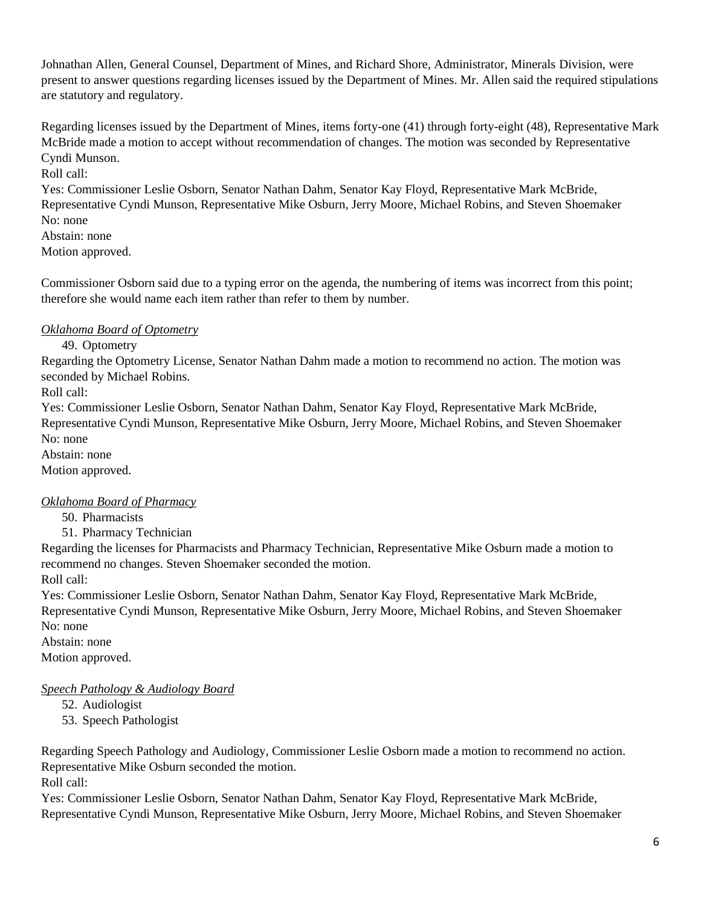Johnathan Allen, General Counsel, Department of Mines, and Richard Shore, Administrator, Minerals Division, were present to answer questions regarding licenses issued by the Department of Mines. Mr. Allen said the required stipulations are statutory and regulatory.

Regarding licenses issued by the Department of Mines, items forty-one (41) through forty-eight (48), Representative Mark McBride made a motion to accept without recommendation of changes. The motion was seconded by Representative Cyndi Munson.

Roll call:

Yes: Commissioner Leslie Osborn, Senator Nathan Dahm, Senator Kay Floyd, Representative Mark McBride, Representative Cyndi Munson, Representative Mike Osburn, Jerry Moore, Michael Robins, and Steven Shoemaker No: none

Abstain: none

Motion approved.

Commissioner Osborn said due to a typing error on the agenda, the numbering of items was incorrect from this point; therefore she would name each item rather than refer to them by number.

# *Oklahoma Board of Optometry*

49. Optometry

Regarding the Optometry License, Senator Nathan Dahm made a motion to recommend no action. The motion was seconded by Michael Robins.

Roll call:

Yes: Commissioner Leslie Osborn, Senator Nathan Dahm, Senator Kay Floyd, Representative Mark McBride, Representative Cyndi Munson, Representative Mike Osburn, Jerry Moore, Michael Robins, and Steven Shoemaker No: none

Abstain: none

Motion approved.

# *Oklahoma Board of Pharmacy*

50. Pharmacists

51. Pharmacy Technician

Regarding the licenses for Pharmacists and Pharmacy Technician, Representative Mike Osburn made a motion to recommend no changes. Steven Shoemaker seconded the motion.

Roll call:

Yes: Commissioner Leslie Osborn, Senator Nathan Dahm, Senator Kay Floyd, Representative Mark McBride, Representative Cyndi Munson, Representative Mike Osburn, Jerry Moore, Michael Robins, and Steven Shoemaker No: none

Abstain: none

Motion approved.

*Speech Pathology & Audiology Board*

52. Audiologist

53. Speech Pathologist

Regarding Speech Pathology and Audiology, Commissioner Leslie Osborn made a motion to recommend no action. Representative Mike Osburn seconded the motion. Roll call:

Yes: Commissioner Leslie Osborn, Senator Nathan Dahm, Senator Kay Floyd, Representative Mark McBride, Representative Cyndi Munson, Representative Mike Osburn, Jerry Moore, Michael Robins, and Steven Shoemaker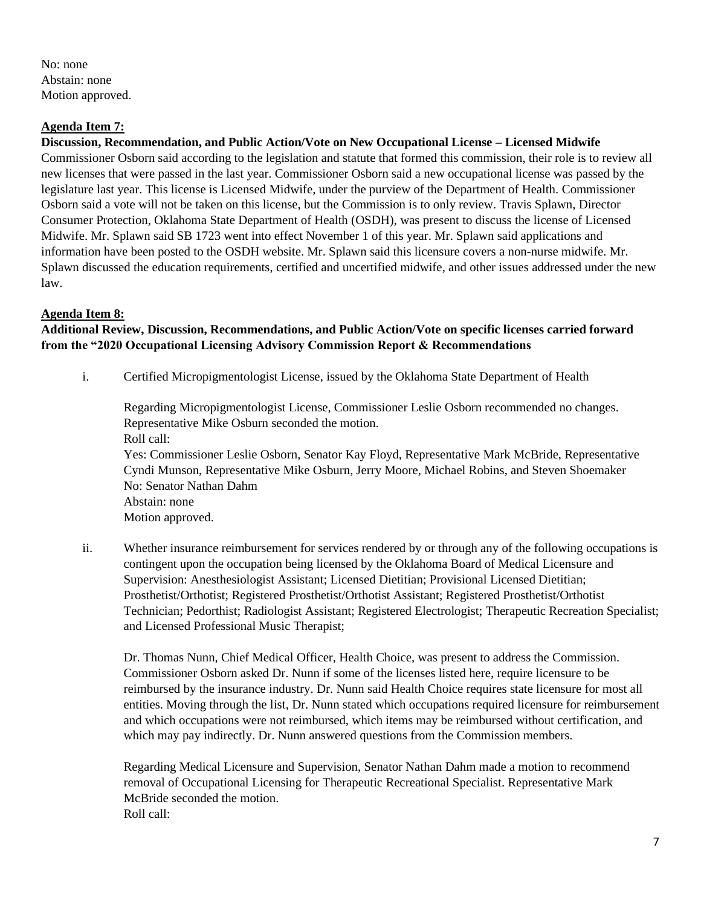No: none Abstain: none Motion approved.

# **Agenda Item 7:**

# **Discussion, Recommendation, and Public Action/Vote on New Occupational License – Licensed Midwife**

Commissioner Osborn said according to the legislation and statute that formed this commission, their role is to review all new licenses that were passed in the last year. Commissioner Osborn said a new occupational license was passed by the legislature last year. This license is Licensed Midwife, under the purview of the Department of Health. Commissioner Osborn said a vote will not be taken on this license, but the Commission is to only review. Travis Splawn, Director Consumer Protection, Oklahoma State Department of Health (OSDH), was present to discuss the license of Licensed Midwife. Mr. Splawn said SB 1723 went into effect November 1 of this year. Mr. Splawn said applications and information have been posted to the OSDH website. Mr. Splawn said this licensure covers a non-nurse midwife. Mr. Splawn discussed the education requirements, certified and uncertified midwife, and other issues addressed under the new law.

# **Agenda Item 8:**

# **Additional Review, Discussion, Recommendations, and Public Action/Vote on specific licenses carried forward from the "2020 Occupational Licensing Advisory Commission Report & Recommendations**

i. Certified Micropigmentologist License, issued by the Oklahoma State Department of Health

Regarding Micropigmentologist License, Commissioner Leslie Osborn recommended no changes. Representative Mike Osburn seconded the motion. Roll call: Yes: Commissioner Leslie Osborn, Senator Kay Floyd, Representative Mark McBride, Representative

Cyndi Munson, Representative Mike Osburn, Jerry Moore, Michael Robins, and Steven Shoemaker No: Senator Nathan Dahm Abstain: none Motion approved.

ii. Whether insurance reimbursement for services rendered by or through any of the following occupations is contingent upon the occupation being licensed by the Oklahoma Board of Medical Licensure and Supervision: Anesthesiologist Assistant; Licensed Dietitian; Provisional Licensed Dietitian; Prosthetist/Orthotist; Registered Prosthetist/Orthotist Assistant; Registered Prosthetist/Orthotist Technician; Pedorthist; Radiologist Assistant; Registered Electrologist; Therapeutic Recreation Specialist; and Licensed Professional Music Therapist;

Dr. Thomas Nunn, Chief Medical Officer, Health Choice, was present to address the Commission. Commissioner Osborn asked Dr. Nunn if some of the licenses listed here, require licensure to be reimbursed by the insurance industry. Dr. Nunn said Health Choice requires state licensure for most all entities. Moving through the list, Dr. Nunn stated which occupations required licensure for reimbursement and which occupations were not reimbursed, which items may be reimbursed without certification, and which may pay indirectly. Dr. Nunn answered questions from the Commission members.

Regarding Medical Licensure and Supervision, Senator Nathan Dahm made a motion to recommend removal of Occupational Licensing for Therapeutic Recreational Specialist. Representative Mark McBride seconded the motion. Roll call: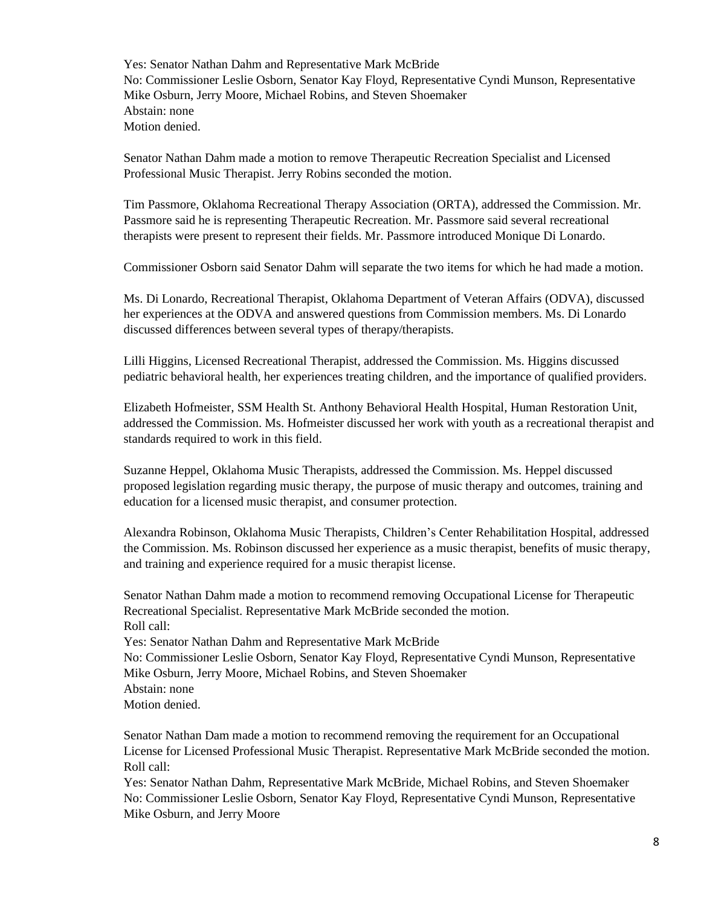Yes: Senator Nathan Dahm and Representative Mark McBride No: Commissioner Leslie Osborn, Senator Kay Floyd, Representative Cyndi Munson, Representative Mike Osburn, Jerry Moore, Michael Robins, and Steven Shoemaker Abstain: none Motion denied.

Senator Nathan Dahm made a motion to remove Therapeutic Recreation Specialist and Licensed Professional Music Therapist. Jerry Robins seconded the motion.

Tim Passmore, Oklahoma Recreational Therapy Association (ORTA), addressed the Commission. Mr. Passmore said he is representing Therapeutic Recreation. Mr. Passmore said several recreational therapists were present to represent their fields. Mr. Passmore introduced Monique Di Lonardo.

Commissioner Osborn said Senator Dahm will separate the two items for which he had made a motion.

Ms. Di Lonardo, Recreational Therapist, Oklahoma Department of Veteran Affairs (ODVA), discussed her experiences at the ODVA and answered questions from Commission members. Ms. Di Lonardo discussed differences between several types of therapy/therapists.

Lilli Higgins, Licensed Recreational Therapist, addressed the Commission. Ms. Higgins discussed pediatric behavioral health, her experiences treating children, and the importance of qualified providers.

Elizabeth Hofmeister, SSM Health St. Anthony Behavioral Health Hospital, Human Restoration Unit, addressed the Commission. Ms. Hofmeister discussed her work with youth as a recreational therapist and standards required to work in this field.

Suzanne Heppel, Oklahoma Music Therapists, addressed the Commission. Ms. Heppel discussed proposed legislation regarding music therapy, the purpose of music therapy and outcomes, training and education for a licensed music therapist, and consumer protection.

Alexandra Robinson, Oklahoma Music Therapists, Children's Center Rehabilitation Hospital, addressed the Commission. Ms. Robinson discussed her experience as a music therapist, benefits of music therapy, and training and experience required for a music therapist license.

Senator Nathan Dahm made a motion to recommend removing Occupational License for Therapeutic Recreational Specialist. Representative Mark McBride seconded the motion. Roll call: Yes: Senator Nathan Dahm and Representative Mark McBride No: Commissioner Leslie Osborn, Senator Kay Floyd, Representative Cyndi Munson, Representative Mike Osburn, Jerry Moore, Michael Robins, and Steven Shoemaker Abstain: none Motion denied.

Senator Nathan Dam made a motion to recommend removing the requirement for an Occupational License for Licensed Professional Music Therapist. Representative Mark McBride seconded the motion. Roll call:

Yes: Senator Nathan Dahm, Representative Mark McBride, Michael Robins, and Steven Shoemaker No: Commissioner Leslie Osborn, Senator Kay Floyd, Representative Cyndi Munson, Representative Mike Osburn, and Jerry Moore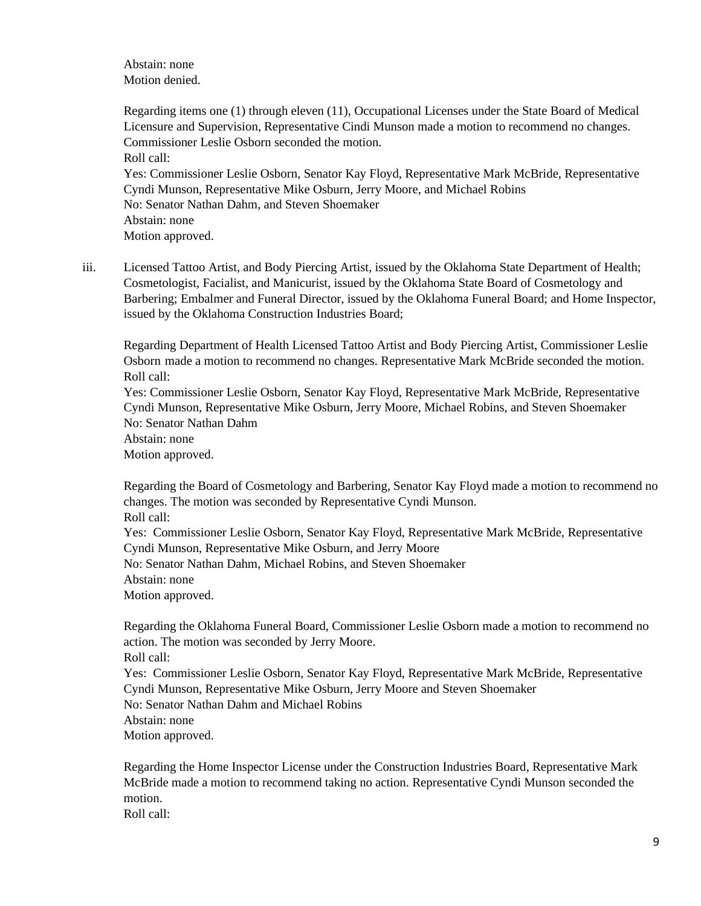Abstain: none Motion denied.

Regarding items one (1) through eleven (11), Occupational Licenses under the State Board of Medical Licensure and Supervision, Representative Cindi Munson made a motion to recommend no changes. Commissioner Leslie Osborn seconded the motion. Roll call: Yes: Commissioner Leslie Osborn, Senator Kay Floyd, Representative Mark McBride, Representative Cyndi Munson, Representative Mike Osburn, Jerry Moore, and Michael Robins No: Senator Nathan Dahm, and Steven Shoemaker Abstain: none Motion approved.

iii. Licensed Tattoo Artist, and Body Piercing Artist, issued by the Oklahoma State Department of Health; Cosmetologist, Facialist, and Manicurist, issued by the Oklahoma State Board of Cosmetology and Barbering; Embalmer and Funeral Director, issued by the Oklahoma Funeral Board; and Home Inspector, issued by the Oklahoma Construction Industries Board;

Regarding Department of Health Licensed Tattoo Artist and Body Piercing Artist, Commissioner Leslie Osborn made a motion to recommend no changes. Representative Mark McBride seconded the motion. Roll call:

Yes: Commissioner Leslie Osborn, Senator Kay Floyd, Representative Mark McBride, Representative Cyndi Munson, Representative Mike Osburn, Jerry Moore, Michael Robins, and Steven Shoemaker No: Senator Nathan Dahm

Abstain: none

Motion approved.

Regarding the Board of Cosmetology and Barbering, Senator Kay Floyd made a motion to recommend no changes. The motion was seconded by Representative Cyndi Munson.

Roll call:

Yes: Commissioner Leslie Osborn, Senator Kay Floyd, Representative Mark McBride, Representative Cyndi Munson, Representative Mike Osburn, and Jerry Moore

No: Senator Nathan Dahm, Michael Robins, and Steven Shoemaker

Abstain: none

Motion approved.

Regarding the Oklahoma Funeral Board, Commissioner Leslie Osborn made a motion to recommend no action. The motion was seconded by Jerry Moore.

Roll call:

Yes: Commissioner Leslie Osborn, Senator Kay Floyd, Representative Mark McBride, Representative Cyndi Munson, Representative Mike Osburn, Jerry Moore and Steven Shoemaker No: Senator Nathan Dahm and Michael Robins Abstain: none Motion approved.

Regarding the Home Inspector License under the Construction Industries Board, Representative Mark McBride made a motion to recommend taking no action. Representative Cyndi Munson seconded the motion.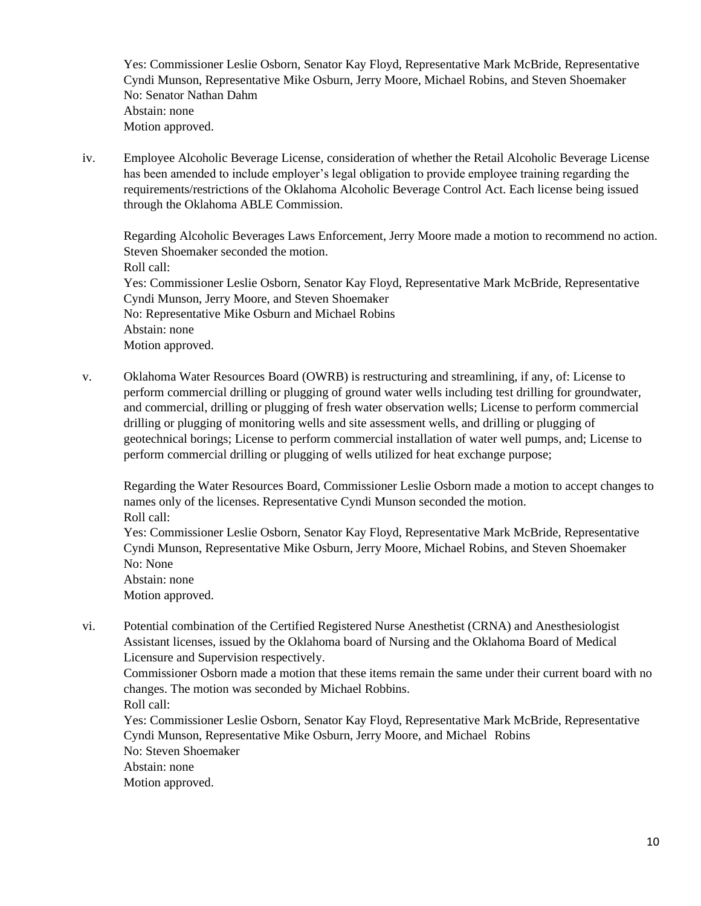Yes: Commissioner Leslie Osborn, Senator Kay Floyd, Representative Mark McBride, Representative Cyndi Munson, Representative Mike Osburn, Jerry Moore, Michael Robins, and Steven Shoemaker No: Senator Nathan Dahm Abstain: none Motion approved.

iv. Employee Alcoholic Beverage License, consideration of whether the Retail Alcoholic Beverage License has been amended to include employer's legal obligation to provide employee training regarding the requirements/restrictions of the Oklahoma Alcoholic Beverage Control Act. Each license being issued through the Oklahoma ABLE Commission.

Regarding Alcoholic Beverages Laws Enforcement, Jerry Moore made a motion to recommend no action. Steven Shoemaker seconded the motion. Roll call: Yes: Commissioner Leslie Osborn, Senator Kay Floyd, Representative Mark McBride, Representative Cyndi Munson, Jerry Moore, and Steven Shoemaker No: Representative Mike Osburn and Michael Robins Abstain: none Motion approved.

v. Oklahoma Water Resources Board (OWRB) is restructuring and streamlining, if any, of: License to perform commercial drilling or plugging of ground water wells including test drilling for groundwater, and commercial, drilling or plugging of fresh water observation wells; License to perform commercial drilling or plugging of monitoring wells and site assessment wells, and drilling or plugging of geotechnical borings; License to perform commercial installation of water well pumps, and; License to perform commercial drilling or plugging of wells utilized for heat exchange purpose;

Regarding the Water Resources Board, Commissioner Leslie Osborn made a motion to accept changes to names only of the licenses. Representative Cyndi Munson seconded the motion. Roll call:

Yes: Commissioner Leslie Osborn, Senator Kay Floyd, Representative Mark McBride, Representative Cyndi Munson, Representative Mike Osburn, Jerry Moore, Michael Robins, and Steven Shoemaker No: None Abstain: none

Motion approved.

vi. Potential combination of the Certified Registered Nurse Anesthetist (CRNA) and Anesthesiologist Assistant licenses, issued by the Oklahoma board of Nursing and the Oklahoma Board of Medical Licensure and Supervision respectively.

Commissioner Osborn made a motion that these items remain the same under their current board with no changes. The motion was seconded by Michael Robbins. Roll call:

Yes: Commissioner Leslie Osborn, Senator Kay Floyd, Representative Mark McBride, Representative Cyndi Munson, Representative Mike Osburn, Jerry Moore, and Michael Robins No: Steven Shoemaker Abstain: none Motion approved.